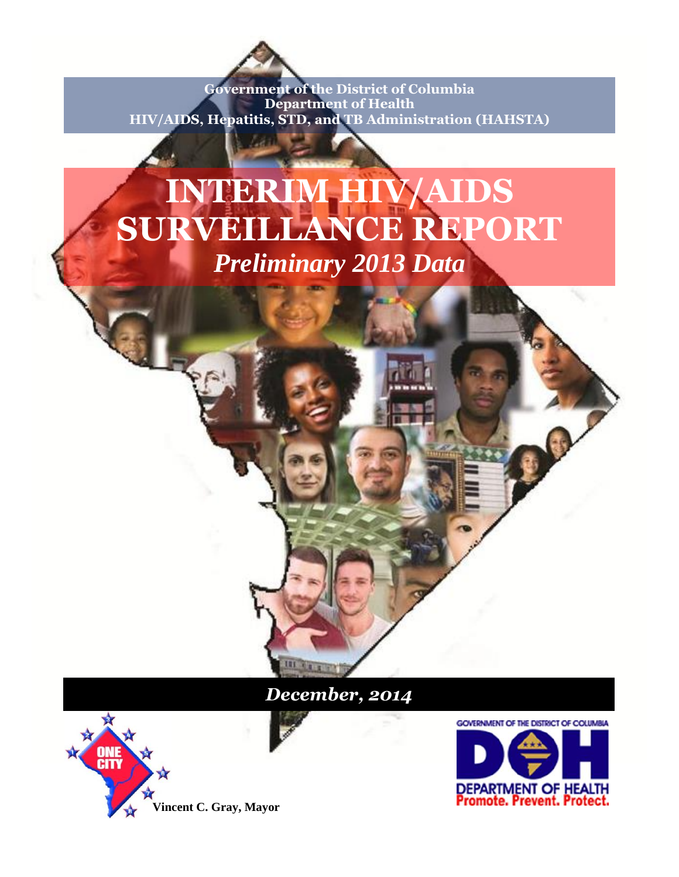

**Government of the District of Columbia Department of Health HIV/AIDS, Hepatitis, STD, and TB Administration (HAHSTA)**

# **INTERIM HIV/AIDS SURVEILLANCE REPORT** *Preliminary 2013 Data*







**Vincent C. Gray, Mayor**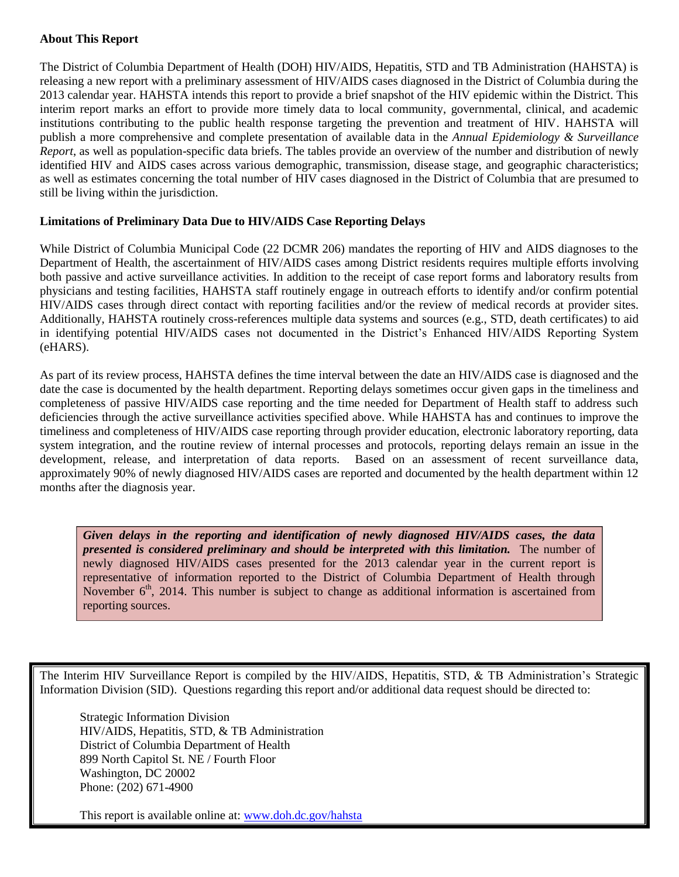#### **About This Report**

The District of Columbia Department of Health (DOH) HIV/AIDS, Hepatitis, STD and TB Administration (HAHSTA) is releasing a new report with a preliminary assessment of HIV/AIDS cases diagnosed in the District of Columbia during the 2013 calendar year. HAHSTA intends this report to provide a brief snapshot of the HIV epidemic within the District. This interim report marks an effort to provide more timely data to local community, governmental, clinical, and academic institutions contributing to the public health response targeting the prevention and treatment of HIV. HAHSTA will publish a more comprehensive and complete presentation of available data in the *Annual Epidemiology & Surveillance Report*, as well as population-specific data briefs. The tables provide an overview of the number and distribution of newly identified HIV and AIDS cases across various demographic, transmission, disease stage, and geographic characteristics; as well as estimates concerning the total number of HIV cases diagnosed in the District of Columbia that are presumed to still be living within the jurisdiction.

#### **Limitations of Preliminary Data Due to HIV/AIDS Case Reporting Delays**

While District of Columbia Municipal Code (22 DCMR 206) mandates the reporting of HIV and AIDS diagnoses to the Department of Health, the ascertainment of HIV/AIDS cases among District residents requires multiple efforts involving both passive and active surveillance activities. In addition to the receipt of case report forms and laboratory results from physicians and testing facilities, HAHSTA staff routinely engage in outreach efforts to identify and/or confirm potential HIV/AIDS cases through direct contact with reporting facilities and/or the review of medical records at provider sites. Additionally, HAHSTA routinely cross-references multiple data systems and sources (e.g., STD, death certificates) to aid in identifying potential HIV/AIDS cases not documented in the District's Enhanced HIV/AIDS Reporting System (eHARS).

As part of its review process, HAHSTA defines the time interval between the date an HIV/AIDS case is diagnosed and the date the case is documented by the health department. Reporting delays sometimes occur given gaps in the timeliness and completeness of passive HIV/AIDS case reporting and the time needed for Department of Health staff to address such deficiencies through the active surveillance activities specified above. While HAHSTA has and continues to improve the timeliness and completeness of HIV/AIDS case reporting through provider education, electronic laboratory reporting, data system integration, and the routine review of internal processes and protocols, reporting delays remain an issue in the development, release, and interpretation of data reports. Based on an assessment of recent surveillance data, approximately 90% of newly diagnosed HIV/AIDS cases are reported and documented by the health department within 12 months after the diagnosis year.

*Given delays in the reporting and identification of newly diagnosed HIV/AIDS cases, the data presented is considered preliminary and should be interpreted with this limitation.* The number of newly diagnosed HIV/AIDS cases presented for the 2013 calendar year in the current report is representative of information reported to the District of Columbia Department of Health through November  $6<sup>th</sup>$ , 2014. This number is subject to change as additional information is ascertained from reporting sources.

The Interim HIV Surveillance Report is compiled by the HIV/AIDS, Hepatitis, STD, & TB Administration's Strategic Information Division (SID). Questions regarding this report and/or additional data request should be directed to:

Strategic Information Division HIV/AIDS, Hepatitis, STD, & TB Administration District of Columbia Department of Health 899 North Capitol St. NE / Fourth Floor Washington, DC 20002 Phone: (202) 671-4900

This report is available online at: [www.doh.dc.gov/hahsta](http://www.doh.dc.gov/hahsta)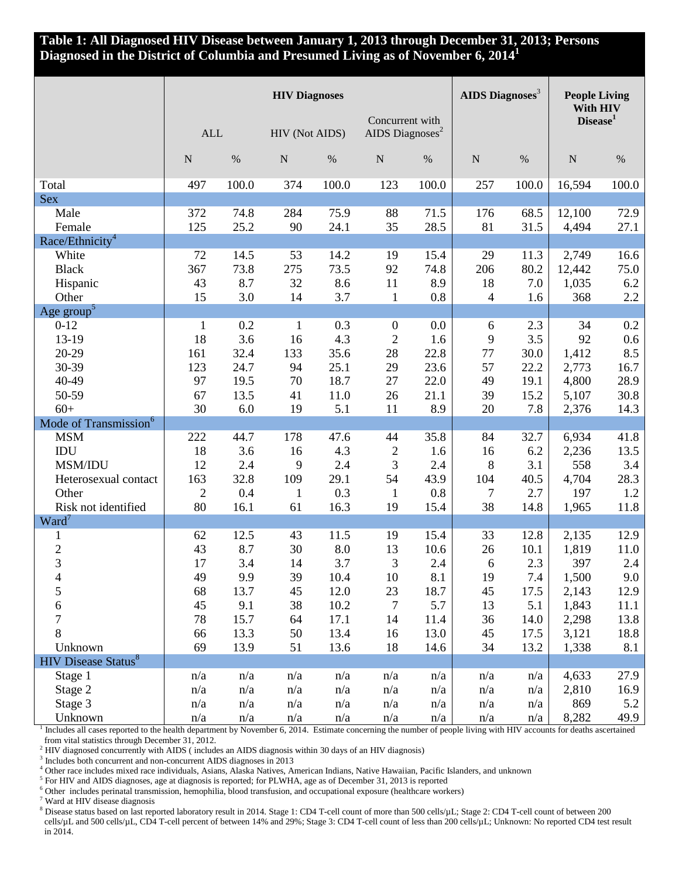### **Table 1: All Diagnosed HIV Disease between January 1, 2013 through December 31, 2013; Persons Diagnosed in the District of Columbia and Presumed Living as of November 6, 2014<sup>1</sup>**

| Disease <sup>1</sup><br>Concurrent with<br>$\mbox{ALL}$<br>HIV (Not AIDS)<br>AIDS Diagnoses <sup>2</sup><br>$\mathbf N$<br>${\bf N}$<br>${\bf N}$<br>${\bf N}$<br>${\bf N}$<br>$\%$<br>$\%$<br>$\%$<br>$\%$<br>$\%$<br>100.0<br>374<br>100.0<br>123<br>100.0<br>257<br>100.0<br>497<br>16,594<br>Total<br><b>Sex</b><br>Male<br>74.8<br>284<br>75.9<br>88<br>71.5<br>176<br>68.5<br>12,100<br>372<br>28.5<br>81<br>125<br>25.2<br>90<br>24.1<br>35<br>31.5<br>Female<br>4,494<br>Race/Ethnicity <sup>4</sup><br>72<br>14.2<br>15.4<br>11.3<br>2,749<br>White<br>14.5<br>53<br>19<br>29<br>73.5<br>80.2<br>367<br>73.8<br>206<br><b>Black</b><br>275<br>92<br>74.8<br>12,442<br>43<br>8.7<br>32<br>8.6<br>8.9<br>18<br>7.0<br>1,035<br>Hispanic<br>11<br>3.0<br>3.7<br>Other<br>15<br>14<br>0.8<br>368<br>$\mathbf{1}$<br>$\overline{\mathcal{L}}$<br>1.6<br>Age group <sup>5</sup><br>$0 - 12$<br>0.3<br>$\mathbf{1}$<br>0.2<br>$\mathbf{1}$<br>0.0<br>34<br>$\boldsymbol{0}$<br>6<br>2.3<br>18<br>4.3<br>13-19<br>3.6<br>16<br>$\overline{2}$<br>1.6<br>9<br>3.5<br>92 |       | <b>HIV Diagnoses</b> |      |     |      |    |      | <b>AIDS Diagnoses</b> <sup>3</sup> |      | <b>People Living</b><br>With HIV |       |
|-------------------------------------------------------------------------------------------------------------------------------------------------------------------------------------------------------------------------------------------------------------------------------------------------------------------------------------------------------------------------------------------------------------------------------------------------------------------------------------------------------------------------------------------------------------------------------------------------------------------------------------------------------------------------------------------------------------------------------------------------------------------------------------------------------------------------------------------------------------------------------------------------------------------------------------------------------------------------------------------------------------------------------------------------------------------------|-------|----------------------|------|-----|------|----|------|------------------------------------|------|----------------------------------|-------|
|                                                                                                                                                                                                                                                                                                                                                                                                                                                                                                                                                                                                                                                                                                                                                                                                                                                                                                                                                                                                                                                                         |       |                      |      |     |      |    |      |                                    |      |                                  |       |
|                                                                                                                                                                                                                                                                                                                                                                                                                                                                                                                                                                                                                                                                                                                                                                                                                                                                                                                                                                                                                                                                         |       |                      |      |     |      |    |      |                                    |      |                                  |       |
|                                                                                                                                                                                                                                                                                                                                                                                                                                                                                                                                                                                                                                                                                                                                                                                                                                                                                                                                                                                                                                                                         |       |                      |      |     |      |    |      |                                    |      |                                  | 100.0 |
|                                                                                                                                                                                                                                                                                                                                                                                                                                                                                                                                                                                                                                                                                                                                                                                                                                                                                                                                                                                                                                                                         |       |                      |      |     |      |    |      |                                    |      |                                  |       |
|                                                                                                                                                                                                                                                                                                                                                                                                                                                                                                                                                                                                                                                                                                                                                                                                                                                                                                                                                                                                                                                                         |       |                      |      |     |      |    |      |                                    |      |                                  | 72.9  |
|                                                                                                                                                                                                                                                                                                                                                                                                                                                                                                                                                                                                                                                                                                                                                                                                                                                                                                                                                                                                                                                                         |       |                      |      |     |      |    |      |                                    |      |                                  | 27.1  |
|                                                                                                                                                                                                                                                                                                                                                                                                                                                                                                                                                                                                                                                                                                                                                                                                                                                                                                                                                                                                                                                                         |       |                      |      |     |      |    |      |                                    |      |                                  |       |
|                                                                                                                                                                                                                                                                                                                                                                                                                                                                                                                                                                                                                                                                                                                                                                                                                                                                                                                                                                                                                                                                         |       |                      |      |     |      |    |      |                                    |      |                                  | 16.6  |
|                                                                                                                                                                                                                                                                                                                                                                                                                                                                                                                                                                                                                                                                                                                                                                                                                                                                                                                                                                                                                                                                         |       |                      |      |     |      |    |      |                                    |      |                                  | 75.0  |
|                                                                                                                                                                                                                                                                                                                                                                                                                                                                                                                                                                                                                                                                                                                                                                                                                                                                                                                                                                                                                                                                         |       |                      |      |     |      |    |      |                                    |      |                                  | 6.2   |
|                                                                                                                                                                                                                                                                                                                                                                                                                                                                                                                                                                                                                                                                                                                                                                                                                                                                                                                                                                                                                                                                         |       |                      |      |     |      |    |      |                                    |      |                                  | 2.2   |
|                                                                                                                                                                                                                                                                                                                                                                                                                                                                                                                                                                                                                                                                                                                                                                                                                                                                                                                                                                                                                                                                         |       |                      |      |     |      |    |      |                                    |      |                                  |       |
|                                                                                                                                                                                                                                                                                                                                                                                                                                                                                                                                                                                                                                                                                                                                                                                                                                                                                                                                                                                                                                                                         |       |                      |      |     |      |    |      |                                    |      |                                  | 0.2   |
|                                                                                                                                                                                                                                                                                                                                                                                                                                                                                                                                                                                                                                                                                                                                                                                                                                                                                                                                                                                                                                                                         |       |                      |      |     |      |    |      |                                    |      |                                  | 0.6   |
|                                                                                                                                                                                                                                                                                                                                                                                                                                                                                                                                                                                                                                                                                                                                                                                                                                                                                                                                                                                                                                                                         | 20-29 | 161                  | 32.4 | 133 | 35.6 | 28 | 22.8 | 77                                 | 30.0 | 1,412                            | 8.5   |
| 30-39<br>24.7<br>25.1<br>29<br>23.6<br>57<br>22.2<br>123<br>94<br>2,773                                                                                                                                                                                                                                                                                                                                                                                                                                                                                                                                                                                                                                                                                                                                                                                                                                                                                                                                                                                                 |       |                      |      |     |      |    |      |                                    |      |                                  | 16.7  |
| 18.7<br>40-49<br>97<br>19.5<br>27<br>22.0<br>49<br>4,800<br>70<br>19.1                                                                                                                                                                                                                                                                                                                                                                                                                                                                                                                                                                                                                                                                                                                                                                                                                                                                                                                                                                                                  |       |                      |      |     |      |    |      |                                    |      |                                  | 28.9  |
| 67<br>13.5<br>11.0<br>26<br>21.1<br>39<br>15.2<br>50-59<br>41<br>5,107                                                                                                                                                                                                                                                                                                                                                                                                                                                                                                                                                                                                                                                                                                                                                                                                                                                                                                                                                                                                  |       |                      |      |     |      |    |      |                                    |      |                                  | 30.8  |
| $60+$<br>30<br>6.0<br>5.1<br>8.9<br>20<br>19<br>11<br>7.8<br>2,376                                                                                                                                                                                                                                                                                                                                                                                                                                                                                                                                                                                                                                                                                                                                                                                                                                                                                                                                                                                                      |       |                      |      |     |      |    |      |                                    |      |                                  | 14.3  |
| Mode of Transmission <sup>6</sup>                                                                                                                                                                                                                                                                                                                                                                                                                                                                                                                                                                                                                                                                                                                                                                                                                                                                                                                                                                                                                                       |       |                      |      |     |      |    |      |                                    |      |                                  |       |
| <b>MSM</b><br>178<br>47.6<br>35.8<br>84<br>32.7<br>222<br>44.7<br>44<br>6,934                                                                                                                                                                                                                                                                                                                                                                                                                                                                                                                                                                                                                                                                                                                                                                                                                                                                                                                                                                                           |       |                      |      |     |      |    |      |                                    |      |                                  | 41.8  |
| IDU<br>18<br>3.6<br>4.3<br>$\sqrt{2}$<br>6.2<br>2,236<br>16<br>1.6<br>16                                                                                                                                                                                                                                                                                                                                                                                                                                                                                                                                                                                                                                                                                                                                                                                                                                                                                                                                                                                                |       |                      |      |     |      |    |      |                                    |      |                                  | 13.5  |
| 2.4<br>$\mathfrak{Z}$<br>558<br>MSM/IDU<br>12<br>2.4<br>2.4<br>$\,8\,$<br>3.1<br>9                                                                                                                                                                                                                                                                                                                                                                                                                                                                                                                                                                                                                                                                                                                                                                                                                                                                                                                                                                                      |       |                      |      |     |      |    |      |                                    |      |                                  | 3.4   |
| 163<br>32.8<br>109<br>29.1<br>54<br>43.9<br>104<br>40.5<br>4,704<br>Heterosexual contact                                                                                                                                                                                                                                                                                                                                                                                                                                                                                                                                                                                                                                                                                                                                                                                                                                                                                                                                                                                |       |                      |      |     |      |    |      |                                    |      |                                  | 28.3  |
| 0.3<br>Other<br>$\overline{2}$<br>0.4<br>0.8<br>2.7<br>$\mathbf{1}$<br>$\overline{7}$<br>197<br>$\mathbf{1}$                                                                                                                                                                                                                                                                                                                                                                                                                                                                                                                                                                                                                                                                                                                                                                                                                                                                                                                                                            |       |                      |      |     |      |    |      |                                    |      |                                  | 1.2   |
| 38<br>Risk not identified<br>80<br>16.1<br>16.3<br>61<br>19<br>15.4<br>14.8<br>1,965                                                                                                                                                                                                                                                                                                                                                                                                                                                                                                                                                                                                                                                                                                                                                                                                                                                                                                                                                                                    |       |                      |      |     |      |    |      |                                    |      |                                  | 11.8  |
| Ward <sup>7</sup>                                                                                                                                                                                                                                                                                                                                                                                                                                                                                                                                                                                                                                                                                                                                                                                                                                                                                                                                                                                                                                                       |       |                      |      |     |      |    |      |                                    |      |                                  |       |
| 12.5<br>11.5<br>15.4<br>33<br>12.8<br>2,135<br>62<br>43<br>19<br>$\mathbf{1}$                                                                                                                                                                                                                                                                                                                                                                                                                                                                                                                                                                                                                                                                                                                                                                                                                                                                                                                                                                                           |       |                      |      |     |      |    |      |                                    |      |                                  | 12.9  |
| $\overline{c}$<br>43<br>8.7<br>30<br>8.0<br>13<br>10.6<br>26<br>10.1<br>1,819                                                                                                                                                                                                                                                                                                                                                                                                                                                                                                                                                                                                                                                                                                                                                                                                                                                                                                                                                                                           |       |                      |      |     |      |    |      |                                    |      |                                  | 11.0  |
| $\overline{3}$<br>3.7<br>3<br>2.3<br>17<br>3.4<br>2.4<br>397<br>14<br>6                                                                                                                                                                                                                                                                                                                                                                                                                                                                                                                                                                                                                                                                                                                                                                                                                                                                                                                                                                                                 |       |                      |      |     |      |    |      |                                    |      |                                  | 2.4   |
| 10.4<br>10<br>8.1<br>49<br>9.9<br>39<br>19<br>7.4<br>1,500<br>4                                                                                                                                                                                                                                                                                                                                                                                                                                                                                                                                                                                                                                                                                                                                                                                                                                                                                                                                                                                                         |       |                      |      |     |      |    |      |                                    |      |                                  | 9.0   |
| 5<br>68<br>13.7<br>45<br>12.0<br>23<br>18.7<br>45<br>17.5<br>2,143                                                                                                                                                                                                                                                                                                                                                                                                                                                                                                                                                                                                                                                                                                                                                                                                                                                                                                                                                                                                      |       |                      |      |     |      |    |      |                                    |      |                                  | 12.9  |
| 9.1<br>10.2<br>5.7<br>6<br>45<br>38<br>$\tau$<br>13<br>5.1<br>1,843                                                                                                                                                                                                                                                                                                                                                                                                                                                                                                                                                                                                                                                                                                                                                                                                                                                                                                                                                                                                     |       |                      |      |     |      |    |      |                                    |      |                                  | 11.1  |
| 7<br>78<br>15.7<br>17.1<br>14<br>11.4<br>36<br>64<br>14.0<br>2,298                                                                                                                                                                                                                                                                                                                                                                                                                                                                                                                                                                                                                                                                                                                                                                                                                                                                                                                                                                                                      |       |                      |      |     |      |    |      |                                    |      |                                  | 13.8  |
| 8<br>13.3<br>50<br>13.4<br>16<br>13.0<br>45<br>66<br>17.5<br>3,121                                                                                                                                                                                                                                                                                                                                                                                                                                                                                                                                                                                                                                                                                                                                                                                                                                                                                                                                                                                                      |       |                      |      |     |      |    |      |                                    |      |                                  | 18.8  |
| 69<br>13.9<br>51<br>13.6<br>18<br>34<br>Unknown<br>14.6<br>13.2<br>1,338                                                                                                                                                                                                                                                                                                                                                                                                                                                                                                                                                                                                                                                                                                                                                                                                                                                                                                                                                                                                |       |                      |      |     |      |    |      |                                    |      |                                  | 8.1   |
| <b>HIV</b> Disease Status <sup>8</sup>                                                                                                                                                                                                                                                                                                                                                                                                                                                                                                                                                                                                                                                                                                                                                                                                                                                                                                                                                                                                                                  |       |                      |      |     |      |    |      |                                    |      |                                  |       |
| Stage 1<br>n/a<br>n/a<br>n/a<br>n/a<br>n/a<br>n/a<br>n/a<br>n/a<br>4,633                                                                                                                                                                                                                                                                                                                                                                                                                                                                                                                                                                                                                                                                                                                                                                                                                                                                                                                                                                                                |       |                      |      |     |      |    |      |                                    |      |                                  | 27.9  |
| n/a<br>2,810<br>Stage 2<br>n/a<br>n/a<br>n/a<br>n/a<br>n/a<br>n/a<br>n/a                                                                                                                                                                                                                                                                                                                                                                                                                                                                                                                                                                                                                                                                                                                                                                                                                                                                                                                                                                                                |       |                      |      |     |      |    |      |                                    |      |                                  | 16.9  |
| 869<br>Stage 3<br>n/a<br>n/a<br>n/a<br>n/a<br>n/a<br>n/a<br>n/a<br>n/a                                                                                                                                                                                                                                                                                                                                                                                                                                                                                                                                                                                                                                                                                                                                                                                                                                                                                                                                                                                                  |       |                      |      |     |      |    |      |                                    |      |                                  | 5.2   |
| n/a<br>8,282<br>Unknown<br>n/a<br>n/a<br>n/a<br>n/a<br>n/a<br>n/a<br>n/a                                                                                                                                                                                                                                                                                                                                                                                                                                                                                                                                                                                                                                                                                                                                                                                                                                                                                                                                                                                                |       |                      |      |     |      |    |      |                                    |      |                                  | 49.9  |

<sup>1</sup> Includes all cases reported to the health department by November 6, 2014. Estimate concerning the number of people living with HIV accounts for deaths ascertained from vital statistics through December 31, 2012.

<sup>2</sup> HIV diagnosed concurrently with AIDS (includes an AIDS diagnosis within 30 days of an HIV diagnosis)

3 Includes both concurrent and non-concurrent AIDS diagnoses in 2013

<sup>4</sup> Other race includes mixed race individuals, Asians, Alaska Natives, American Indians, Native Hawaiian, Pacific Islanders, and unknown

<sup>5</sup> For HIV and AIDS diagnoses, age at diagnosis is reported; for PLWHA, age as of December 31, 2013 is reported

<sup>6</sup> Other includes perinatal transmission, hemophilia, blood transfusion, and occupational exposure (healthcare workers)

<sup>7</sup> Ward at HIV disease diagnosis

<sup>8</sup> Disease status based on last reported laboratory result in 2014. Stage 1: CD4 T-cell count of more than 500 cells/µL; Stage 2: CD4 T-cell count of between 200 cells/µL and 500 cells/µL, CD4 T-cell percent of between 14% and 29%; Stage 3: CD4 T-cell count of less than 200 cells/µL; Unknown: No reported CD4 test result in 2014.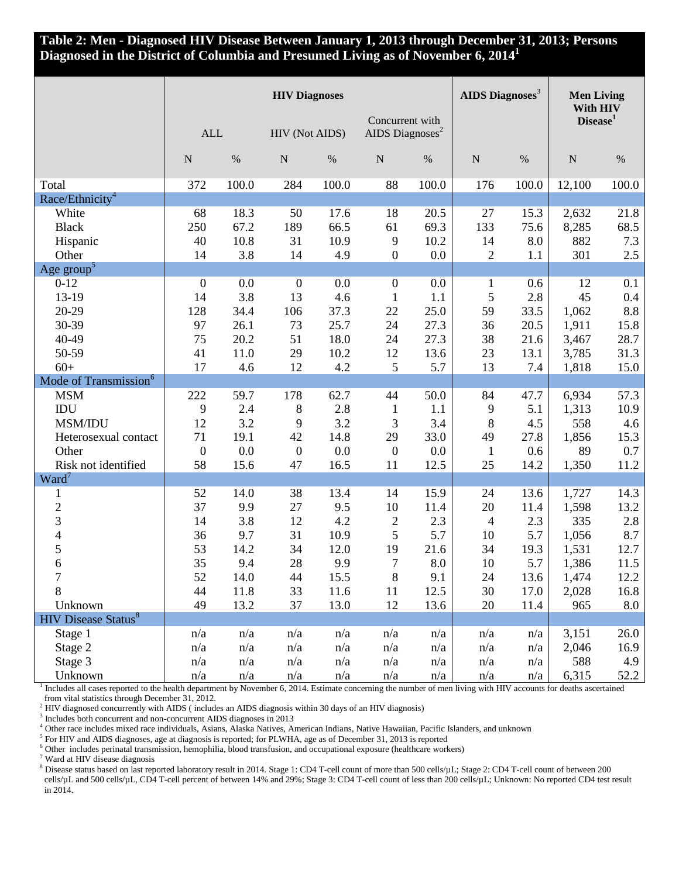## **Table 2: Men - Diagnosed HIV Disease Between January 1, 2013 through December 31, 2013; Persons Diagnosed in the District of Columbia and Presumed Living as of November 6, 2014<sup>1</sup>**

|                                        | <b>HIV Diagnoses</b> |       |                  |       |                                                | <b>AIDS Diagnoses<sup>3</sup></b> |                | <b>Men Living</b><br>With HIV |                      |       |
|----------------------------------------|----------------------|-------|------------------|-------|------------------------------------------------|-----------------------------------|----------------|-------------------------------|----------------------|-------|
|                                        | ALL                  |       | HIV (Not AIDS)   |       | Concurrent with<br>AIDS Diagnoses <sup>2</sup> |                                   |                |                               | Disease <sup>1</sup> |       |
|                                        | $\mathbf N$          | $\%$  | $\mathbf N$      | $\%$  | $\mathbf N$                                    | $\%$                              | ${\bf N}$      | $\%$                          | ${\bf N}$            | $\%$  |
| Total                                  | 372                  | 100.0 | 284              | 100.0 | 88                                             | 100.0                             | 176            | 100.0                         | 12,100               | 100.0 |
| Race/Ethnicity <sup>4</sup>            |                      |       |                  |       |                                                |                                   |                |                               |                      |       |
| White                                  | 68                   | 18.3  | 50               | 17.6  | 18                                             | 20.5                              | 27             | 15.3                          | 2,632                | 21.8  |
| <b>Black</b>                           | 250                  | 67.2  | 189              | 66.5  | 61                                             | 69.3                              | 133            | 75.6                          | 8,285                | 68.5  |
| Hispanic                               | 40                   | 10.8  | 31               | 10.9  | 9                                              | 10.2                              | 14             | 8.0                           | 882                  | 7.3   |
| Other                                  | 14                   | 3.8   | 14               | 4.9   | $\boldsymbol{0}$                               | 0.0                               | $\sqrt{2}$     | 1.1                           | 301                  | 2.5   |
| Age group <sup>5</sup>                 |                      |       |                  |       |                                                |                                   |                |                               |                      |       |
| $0 - 12$                               | $\boldsymbol{0}$     | 0.0   | $\overline{0}$   | 0.0   | $\boldsymbol{0}$                               | 0.0                               | $\mathbf{1}$   | 0.6                           | 12                   | 0.1   |
| 13-19                                  | 14                   | 3.8   | 13               | 4.6   | $\mathbf{1}$                                   | 1.1                               | 5              | 2.8                           | 45                   | 0.4   |
| 20-29                                  | 128                  | 34.4  | 106              | 37.3  | 22                                             | 25.0                              | 59             | 33.5                          | 1,062                | 8.8   |
| 30-39                                  | 97                   | 26.1  | 73               | 25.7  | 24                                             | 27.3                              | 36             | 20.5                          | 1,911                | 15.8  |
| 40-49                                  | 75                   | 20.2  | 51               | 18.0  | 24                                             | 27.3                              | 38             | 21.6                          | 3,467                | 28.7  |
| 50-59                                  | 41                   | 11.0  | 29               | 10.2  | 12                                             | 13.6                              | 23             | 13.1                          | 3,785                | 31.3  |
| $60+$                                  | 17                   | 4.6   | 12               | 4.2   | 5                                              | 5.7                               | 13             | 7.4                           | 1,818                | 15.0  |
| Mode of Transmission <sup>6</sup>      |                      |       |                  |       |                                                |                                   |                |                               |                      |       |
| <b>MSM</b>                             | 222                  | 59.7  | 178              | 62.7  | 44                                             | 50.0                              | 84             | 47.7                          | 6,934                | 57.3  |
| IDU                                    | 9                    | 2.4   | $8\,$            | 2.8   | $\mathbf{1}$                                   | 1.1                               | 9              | 5.1                           | 1,313                | 10.9  |
| MSM/IDU                                | 12                   | 3.2   | 9                | 3.2   | 3                                              | 3.4                               | 8              | 4.5                           | 558                  | 4.6   |
| Heterosexual contact                   | 71                   | 19.1  | 42               | 14.8  | 29                                             | 33.0                              | 49             | 27.8                          | 1,856                | 15.3  |
| Other                                  | $\boldsymbol{0}$     | 0.0   | $\boldsymbol{0}$ | 0.0   | $\boldsymbol{0}$                               | 0.0                               | $\mathbf{1}$   | 0.6                           | 89                   | 0.7   |
| Risk not identified                    | 58                   | 15.6  | 47               | 16.5  | 11                                             | 12.5                              | 25             | 14.2                          | 1,350                | 11.2  |
| Ward <sup>7</sup>                      |                      |       |                  |       |                                                |                                   |                |                               |                      |       |
| 1                                      | 52                   | 14.0  | 38               | 13.4  | 14                                             | 15.9                              | 24             | 13.6                          | 1,727                | 14.3  |
| $\overline{c}$                         | 37                   | 9.9   | 27               | 9.5   | 10                                             | 11.4                              | 20             | 11.4                          | 1,598                | 13.2  |
| $\overline{3}$                         | 14                   | 3.8   | 12               | 4.2   | $\mathbf{2}$                                   | 2.3                               | $\overline{4}$ | 2.3                           | 335                  | 2.8   |
| $\overline{4}$                         | 36                   | 9.7   | 31               | 10.9  | 5                                              | 5.7                               | 10             | 5.7                           | 1,056                | 8.7   |
| 5                                      | 53                   | 14.2  | 34               | 12.0  | 19                                             | 21.6                              | 34             | 19.3                          | 1,531                | 12.7  |
| 6                                      | 35                   | 9.4   | 28               | 9.9   | $\overline{7}$                                 | 8.0                               | 10             | 5.7                           | 1,386                | 11.5  |
| 7                                      | 52                   | 14.0  | 44               | 15.5  | $\,8\,$                                        | 9.1                               | 24             | 13.6                          | 1,474                | 12.2  |
| 8                                      | 44                   | 11.8  | 33               | 11.6  | 11                                             | 12.5                              | 30             | 17.0                          | 2,028                | 16.8  |
| Unknown                                | 49                   | 13.2  | 37               | 13.0  | 12                                             | 13.6                              | 20             | 11.4                          | 965                  | 8.0   |
| <b>HIV</b> Disease Status <sup>8</sup> |                      |       |                  |       |                                                |                                   |                |                               |                      |       |
| Stage 1                                | n/a                  | n/a   | n/a              | n/a   | n/a                                            | n/a                               | n/a            | n/a                           | 3,151                | 26.0  |
| Stage 2                                | n/a                  | n/a   | n/a              | n/a   | n/a                                            | n/a                               | n/a            | n/a                           | 2,046                | 16.9  |
| Stage 3                                | n/a                  | n/a   | n/a              | n/a   | n/a                                            | n/a                               | n/a            | n/a                           | 588                  | 4.9   |
| Unknown                                | n/a                  | n/a   | n/a              | n/a   | n/a                                            | n/a                               | n/a            | n/a                           | 6,315                | 52.2  |

<sup>1</sup> Includes all cases reported to the health department by November 6, 2014. Estimate concerning the number of men living with HIV accounts for deaths ascertained from vital statistics through December 31, 2012.

<sup>2</sup> HIV diagnosed concurrently with AIDS (includes an AIDS diagnosis within 30 days of an HIV diagnosis)

3 Includes both concurrent and non-concurrent AIDS diagnoses in 2013

<sup>4</sup> Other race includes mixed race individuals, Asians, Alaska Natives, American Indians, Native Hawaiian, Pacific Islanders, and unknown

<sup>5</sup> For HIV and AIDS diagnoses, age at diagnosis is reported; for PLWHA, age as of December 31, 2013 is reported

<sup>6</sup> Other includes perinatal transmission, hemophilia, blood transfusion, and occupational exposure (healthcare workers)

<sup>7</sup> Ward at HIV disease diagnosis

<sup>8</sup> Disease status based on last reported laboratory result in 2014. Stage 1: CD4 T-cell count of more than 500 cells/µL; Stage 2: CD4 T-cell count of between 200 cells/µL and 500 cells/µL, CD4 T-cell percent of between 14% and 29%; Stage 3: CD4 T-cell count of less than 200 cells/µL; Unknown: No reported CD4 test result in 2014.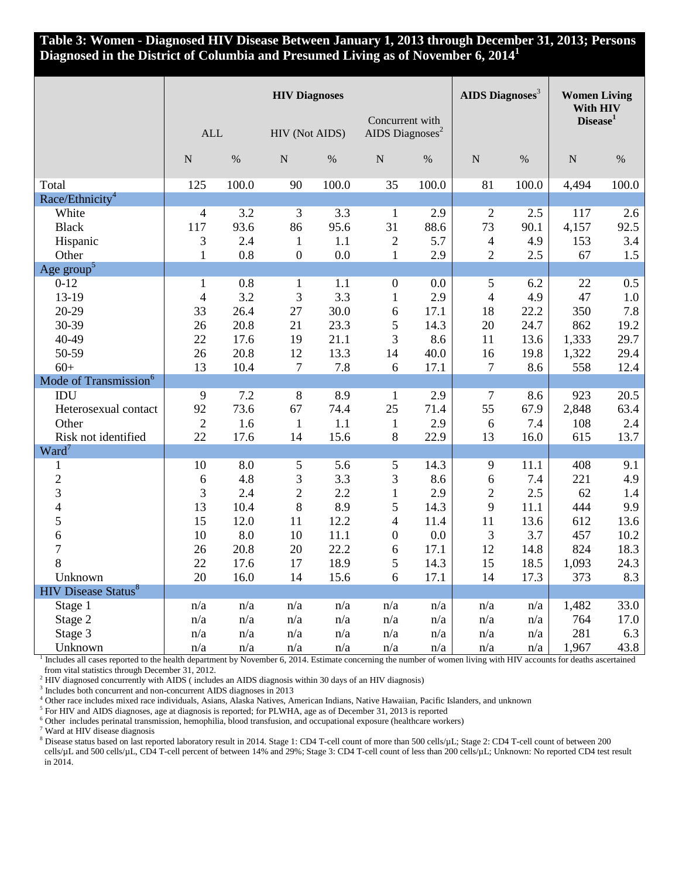## **Table 3: Women - Diagnosed HIV Disease Between January 1, 2013 through December 31, 2013; Persons Diagnosed in the District of Columbia and Presumed Living as of November 6, 2014<sup>1</sup>**

|                                        | <b>HIV Diagnoses</b> |       |                  |                |                  |                                                | <b>AIDS Diagnoses</b> <sup>3</sup> |       | <b>Women Living</b><br>With HIV |                      |  |
|----------------------------------------|----------------------|-------|------------------|----------------|------------------|------------------------------------------------|------------------------------------|-------|---------------------------------|----------------------|--|
|                                        | $\mbox{ALL}$         |       |                  | HIV (Not AIDS) |                  | Concurrent with<br>AIDS Diagnoses <sup>2</sup> |                                    |       |                                 | Disease <sup>1</sup> |  |
|                                        | $\mathbf N$          | $\%$  | $\mathbf N$      | $\%$           | $\mathbf N$      | $\%$                                           | ${\bf N}$                          | $\%$  | ${\bf N}$                       | $\%$                 |  |
| Total                                  | 125                  | 100.0 | 90               | 100.0          | 35               | 100.0                                          | 81                                 | 100.0 | 4,494                           | 100.0                |  |
| Race/Ethnicity <sup>4</sup>            |                      |       |                  |                |                  |                                                |                                    |       |                                 |                      |  |
| White                                  | $\overline{4}$       | 3.2   | 3                | 3.3            | $\mathbf{1}$     | 2.9                                            | $\sqrt{2}$                         | 2.5   | 117                             | 2.6                  |  |
| <b>Black</b>                           | 117                  | 93.6  | 86               | 95.6           | 31               | 88.6                                           | 73                                 | 90.1  | 4,157                           | 92.5                 |  |
| Hispanic                               | 3                    | 2.4   | $\mathbf{1}$     | 1.1            | $\boldsymbol{2}$ | 5.7                                            | $\overline{4}$                     | 4.9   | 153                             | 3.4                  |  |
| Other                                  | $\mathbf{1}$         | 0.8   | $\boldsymbol{0}$ | 0.0            | $\mathbf{1}$     | 2.9                                            | $\overline{c}$                     | 2.5   | 67                              | 1.5                  |  |
| Age group <sup>5</sup>                 |                      |       |                  |                |                  |                                                |                                    |       |                                 |                      |  |
| $0 - 12$                               | $\mathbf{1}$         | 0.8   | $\mathbf{1}$     | 1.1            | $\boldsymbol{0}$ | 0.0                                            | 5                                  | 6.2   | 22                              | 0.5                  |  |
| 13-19                                  | $\overline{4}$       | 3.2   | 3                | 3.3            | $\mathbf{1}$     | 2.9                                            | $\overline{4}$                     | 4.9   | 47                              | 1.0                  |  |
| 20-29                                  | 33                   | 26.4  | 27               | 30.0           | 6                | 17.1                                           | 18                                 | 22.2  | 350                             | 7.8                  |  |
| 30-39                                  | 26                   | 20.8  | 21               | 23.3           | 5                | 14.3                                           | 20                                 | 24.7  | 862                             | 19.2                 |  |
| 40-49                                  | 22                   | 17.6  | 19               | 21.1           | 3                | 8.6                                            | 11                                 | 13.6  | 1,333                           | 29.7                 |  |
| 50-59                                  | 26                   | 20.8  | 12               | 13.3           | 14               | 40.0                                           | 16                                 | 19.8  | 1,322                           | 29.4                 |  |
| $60+$                                  | 13                   | 10.4  | $\tau$           | 7.8            | 6                | 17.1                                           | $\tau$                             | 8.6   | 558                             | 12.4                 |  |
| Mode of Transmission <sup>6</sup>      |                      |       |                  |                |                  |                                                |                                    |       |                                 |                      |  |
| IDU                                    | 9                    | 7.2   | 8                | 8.9            | $\mathbf{1}$     | 2.9                                            | $\overline{7}$                     | 8.6   | 923                             | 20.5                 |  |
| Heterosexual contact                   | 92                   | 73.6  | 67               | 74.4           | 25               | 71.4                                           | 55                                 | 67.9  | 2,848                           | 63.4                 |  |
| Other                                  | $\sqrt{2}$           | 1.6   | $\mathbf{1}$     | 1.1            | $\mathbf{1}$     | 2.9                                            | 6                                  | 7.4   | 108                             | 2.4                  |  |
| Risk not identified                    | 22                   | 17.6  | 14               | 15.6           | 8                | 22.9                                           | 13                                 | 16.0  | 615                             | 13.7                 |  |
| Ward <sup>7</sup>                      |                      |       |                  |                |                  |                                                |                                    |       |                                 |                      |  |
| $\mathbf{1}$                           | 10                   | 8.0   | $\mathfrak{S}$   | 5.6            | 5                | 14.3                                           | 9                                  | 11.1  | 408                             | 9.1                  |  |
| $\overline{c}$                         | 6                    | 4.8   | $\mathfrak{Z}$   | 3.3            | $\mathfrak{Z}$   | 8.6                                            | $\sqrt{6}$                         | 7.4   | 221                             | 4.9                  |  |
| 3                                      | $\mathfrak{Z}$       | 2.4   | $\overline{2}$   | 2.2            | $\mathbf{1}$     | 2.9                                            | $\overline{c}$                     | 2.5   | 62                              | 1.4                  |  |
| $\overline{4}$                         | 13                   | 10.4  | $8\,$            | 8.9            | 5                | 14.3                                           | 9                                  | 11.1  | 444                             | 9.9                  |  |
| 5                                      | 15                   | 12.0  | 11               | 12.2           | 4                | 11.4                                           | 11                                 | 13.6  | 612                             | 13.6                 |  |
| 6                                      | 10                   | 8.0   | 10               | 11.1           | $\boldsymbol{0}$ | 0.0                                            | 3                                  | 3.7   | 457                             | 10.2                 |  |
| $\overline{7}$                         | 26                   | 20.8  | 20               | 22.2           | 6                | 17.1                                           | 12                                 | 14.8  | 824                             | 18.3                 |  |
| 8                                      | 22                   | 17.6  | 17               | 18.9           | 5                | 14.3                                           | 15                                 | 18.5  | 1,093                           | 24.3                 |  |
| Unknown                                | 20                   | 16.0  | 14               | 15.6           | $\sqrt{6}$       | 17.1                                           | 14                                 | 17.3  | 373                             | 8.3                  |  |
| <b>HIV</b> Disease Status <sup>8</sup> |                      |       |                  |                |                  |                                                |                                    |       |                                 |                      |  |
| Stage 1                                | n/a                  | n/a   | n/a              | n/a            | n/a              | n/a                                            | n/a                                | n/a   | 1,482                           | 33.0                 |  |
| Stage 2                                | n/a                  | n/a   | n/a              | n/a            | n/a              | n/a                                            | n/a                                | n/a   | 764                             | 17.0                 |  |
| Stage 3                                | n/a                  | n/a   | n/a              | n/a            | n/a              | n/a                                            | n/a                                | n/a   | 281                             | 6.3                  |  |
| Unknown                                | n/a                  | n/a   | n/a              | n/a            | n/a              | n/a                                            | n/a                                | n/a   | 1,967                           | 43.8                 |  |

<sup>1</sup> Includes all cases reported to the health department by November 6, 2014. Estimate concerning the number of women living with HIV accounts for deaths ascertained from vital statistics through December 31, 2012.

<sup>2</sup> HIV diagnosed concurrently with AIDS (includes an AIDS diagnosis within 30 days of an HIV diagnosis)

<sup>3</sup> Includes both concurrent and non-concurrent AIDS diagnoses in 2013

<sup>4</sup> Other race includes mixed race individuals, Asians, Alaska Natives, American Indians, Native Hawaiian, Pacific Islanders, and unknown

<sup>5</sup> For HIV and AIDS diagnoses, age at diagnosis is reported; for PLWHA, age as of December 31, 2013 is reported

 $6$  Other includes perinatal transmission, hemophilia, blood transfusion, and occupational exposure (healthcare workers)

<sup>7</sup> Ward at HIV disease diagnosis

<sup>8</sup> Disease status based on last reported laboratory result in 2014. Stage 1: CD4 T-cell count of more than 500 cells/µL; Stage 2: CD4 T-cell count of between 200 cells/µL and 500 cells/µL, CD4 T-cell percent of between 14% and 29%; Stage 3: CD4 T-cell count of less than 200 cells/µL; Unknown: No reported CD4 test result in 2014.